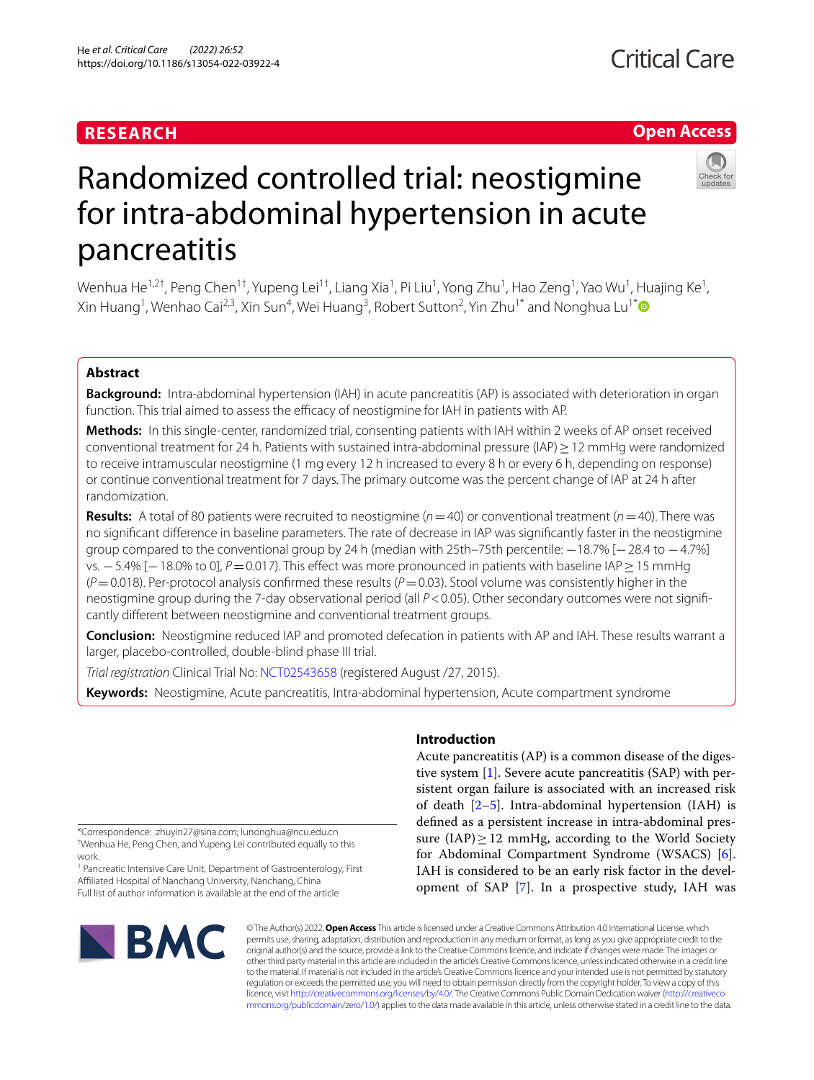# **RESEARCH**

# **Critical Care**

# **Open Access**



# Randomized controlled trial: neostigmine for intra-abdominal hypertension in acute pancreatitis

Wenhua He $^{1,2\dagger}$ , Peng Chen $^{1\dagger}$ , Yupeng Lei $^{1\dagger}$ , Liang Xia $^1$ , Pi Liu $^1$ , Yong Zhu $^1$ , Hao Zeng $^1$ , Yao Wu $^1$ , Huajing Ke $^1$ , Xin Huang<sup>1</sup>, Wenhao Cai<sup>2,3</sup>, Xin Sun<sup>4</sup>, Wei Huang<sup>3</sup>, Robert Sutton<sup>2</sup>, Yin Zhu<sup>1[\\*](http://orcid.org/0000-0003-4373-551X)</sup> and Nonghua Lu<sup>1\*</sup>

# **Abstract**

**Background:** Intra-abdominal hypertension (IAH) in acute pancreatitis (AP) is associated with deterioration in organ function. This trial aimed to assess the efficacy of neostigmine for IAH in patients with AP.

**Methods:** In this single-center, randomized trial, consenting patients with IAH within 2 weeks of AP onset received conventional treatment for 24 h. Patients with sustained intra-abdominal pressure (IAP)≥12 mmHg were randomized to receive intramuscular neostigmine (1 mg every 12 h increased to every 8 h or every 6 h, depending on response) or continue conventional treatment for 7 days. The primary outcome was the percent change of IAP at 24 h after randomization.

**Results:** A total of 80 patients were recruited to neostigmine ( $n = 40$ ) or conventional treatment ( $n = 40$ ). There was no signifcant diference in baseline parameters. The rate of decrease in IAP was signifcantly faster in the neostigmine group compared to the conventional group by 24 h (median with 25th–75th percentile: −18.7% [−28.4 to −4.7%] vs. −5.4% [−18.0% to 0], *P*=0.017). This effect was more pronounced in patients with baseline IAP ≥ 15 mmHg  $(P=0.018)$ . Per-protocol analysis confirmed these results  $(P=0.03)$ . Stool volume was consistently higher in the neostigmine group during the 7-day observational period (all *P*<0.05). Other secondary outcomes were not signifcantly diferent between neostigmine and conventional treatment groups.

**Conclusion:** Neostigmine reduced IAP and promoted defecation in patients with AP and IAH. These results warrant a larger, placebo-controlled, double-blind phase III trial.

*Trial registration* Clinical Trial No: [NCT02543658](https://clinicaltrials.gov/ct2/show/NCT02543658) (registered August /27, 2015).

**Keywords:** Neostigmine, Acute pancreatitis, Intra-abdominal hypertension, Acute compartment syndrome

\*Correspondence: zhuyin27@sina.com; lunonghua@ncu.edu.cn † Wenhua He, Peng Chen, and Yupeng Lei contributed equally to this work.

<sup>1</sup> Pancreatic Intensive Care Unit, Department of Gastroenterology, First Afliated Hospital of Nanchang University, Nanchang, China Full list of author information is available at the end of the article

# **Introduction**

Acute pancreatitis (AP) is a common disease of the digestive system [\[1](#page-10-0)]. Severe acute pancreatitis (SAP) with persistent organ failure is associated with an increased risk of death  $[2-5]$  $[2-5]$  $[2-5]$ . Intra-abdominal hypertension (IAH) is defned as a persistent increase in intra-abdominal pressure  $(IAP) > 12$  mmHg, according to the World Society for Abdominal Compartment Syndrome (WSACS) [\[6](#page-10-3)]. IAH is considered to be an early risk factor in the development of SAP [\[7](#page-10-4)]. In a prospective study, IAH was



© The Author(s) 2022. **Open Access** This article is licensed under a Creative Commons Attribution 4.0 International License, which permits use, sharing, adaptation, distribution and reproduction in any medium or format, as long as you give appropriate credit to the original author(s) and the source, provide a link to the Creative Commons licence, and indicate if changes were made. The images or other third party material in this article are included in the article's Creative Commons licence, unless indicated otherwise in a credit line to the material. If material is not included in the article's Creative Commons licence and your intended use is not permitted by statutory regulation or exceeds the permitted use, you will need to obtain permission directly from the copyright holder. To view a copy of this licence, visit [http://creativecommons.org/licenses/by/4.0/.](http://creativecommons.org/licenses/by/4.0/) The Creative Commons Public Domain Dedication waiver ([http://creativeco](http://creativecommons.org/publicdomain/zero/1.0/) [mmons.org/publicdomain/zero/1.0/](http://creativecommons.org/publicdomain/zero/1.0/)) applies to the data made available in this article, unless otherwise stated in a credit line to the data.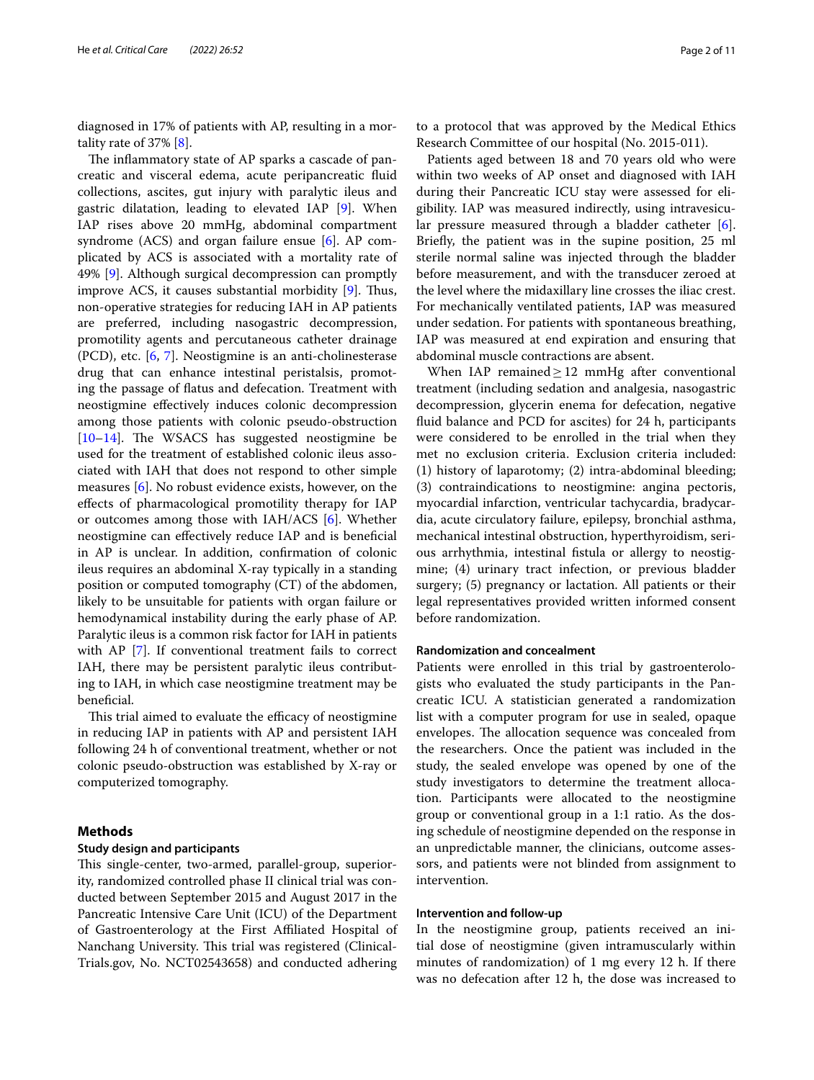diagnosed in 17% of patients with AP, resulting in a mortality rate of 37% [\[8](#page-10-5)].

The inflammatory state of AP sparks a cascade of pancreatic and visceral edema, acute peripancreatic fuid collections, ascites, gut injury with paralytic ileus and gastric dilatation, leading to elevated IAP [\[9](#page-10-6)]. When IAP rises above 20 mmHg, abdominal compartment syndrome (ACS) and organ failure ensue [\[6](#page-10-3)]. AP complicated by ACS is associated with a mortality rate of 49% [[9\]](#page-10-6). Although surgical decompression can promptly improve ACS, it causes substantial morbidity  $[9]$ . Thus, non-operative strategies for reducing IAH in AP patients are preferred, including nasogastric decompression, promotility agents and percutaneous catheter drainage (PCD), etc. [[6,](#page-10-3) [7](#page-10-4)]. Neostigmine is an anti-cholinesterase drug that can enhance intestinal peristalsis, promoting the passage of fatus and defecation. Treatment with neostigmine efectively induces colonic decompression among those patients with colonic pseudo-obstruction  $[10-14]$  $[10-14]$  $[10-14]$ . The WSACS has suggested neostigmine be used for the treatment of established colonic ileus associated with IAH that does not respond to other simple measures [\[6\]](#page-10-3). No robust evidence exists, however, on the efects of pharmacological promotility therapy for IAP or outcomes among those with IAH/ACS [[6\]](#page-10-3). Whether neostigmine can efectively reduce IAP and is benefcial in AP is unclear. In addition, confrmation of colonic ileus requires an abdominal X-ray typically in a standing position or computed tomography (CT) of the abdomen, likely to be unsuitable for patients with organ failure or hemodynamical instability during the early phase of AP. Paralytic ileus is a common risk factor for IAH in patients with AP [[7\]](#page-10-4). If conventional treatment fails to correct IAH, there may be persistent paralytic ileus contributing to IAH, in which case neostigmine treatment may be beneficial.

This trial aimed to evaluate the efficacy of neostigmine in reducing IAP in patients with AP and persistent IAH following 24 h of conventional treatment, whether or not colonic pseudo-obstruction was established by X-ray or computerized tomography.

# **Methods**

# **Study design and participants**

This single-center, two-armed, parallel-group, superiority, randomized controlled phase II clinical trial was conducted between September 2015 and August 2017 in the Pancreatic Intensive Care Unit (ICU) of the Department of Gastroenterology at the First Afliated Hospital of Nanchang University. This trial was registered (Clinical-Trials.gov, No. NCT02543658) and conducted adhering

to a protocol that was approved by the Medical Ethics Research Committee of our hospital (No. 2015-011).

Patients aged between 18 and 70 years old who were within two weeks of AP onset and diagnosed with IAH during their Pancreatic ICU stay were assessed for eligibility. IAP was measured indirectly, using intravesicular pressure measured through a bladder catheter [\[6](#page-10-3)]. Briefy, the patient was in the supine position, 25 ml sterile normal saline was injected through the bladder before measurement, and with the transducer zeroed at the level where the midaxillary line crosses the iliac crest. For mechanically ventilated patients, IAP was measured under sedation. For patients with spontaneous breathing, IAP was measured at end expiration and ensuring that abdominal muscle contractions are absent.

When IAP remained $\geq$  12 mmHg after conventional treatment (including sedation and analgesia, nasogastric decompression, glycerin enema for defecation, negative fuid balance and PCD for ascites) for 24 h, participants were considered to be enrolled in the trial when they met no exclusion criteria. Exclusion criteria included: (1) history of laparotomy; (2) intra-abdominal bleeding; (3) contraindications to neostigmine: angina pectoris, myocardial infarction, ventricular tachycardia, bradycardia, acute circulatory failure, epilepsy, bronchial asthma, mechanical intestinal obstruction, hyperthyroidism, serious arrhythmia, intestinal fstula or allergy to neostigmine; (4) urinary tract infection, or previous bladder surgery; (5) pregnancy or lactation. All patients or their legal representatives provided written informed consent before randomization.

# **Randomization and concealment**

Patients were enrolled in this trial by gastroenterologists who evaluated the study participants in the Pancreatic ICU. A statistician generated a randomization list with a computer program for use in sealed, opaque envelopes. The allocation sequence was concealed from the researchers. Once the patient was included in the study, the sealed envelope was opened by one of the study investigators to determine the treatment allocation. Participants were allocated to the neostigmine group or conventional group in a 1:1 ratio. As the dosing schedule of neostigmine depended on the response in an unpredictable manner, the clinicians, outcome assessors, and patients were not blinded from assignment to intervention.

# **Intervention and follow‑up**

In the neostigmine group, patients received an initial dose of neostigmine (given intramuscularly within minutes of randomization) of 1 mg every 12 h. If there was no defecation after 12 h, the dose was increased to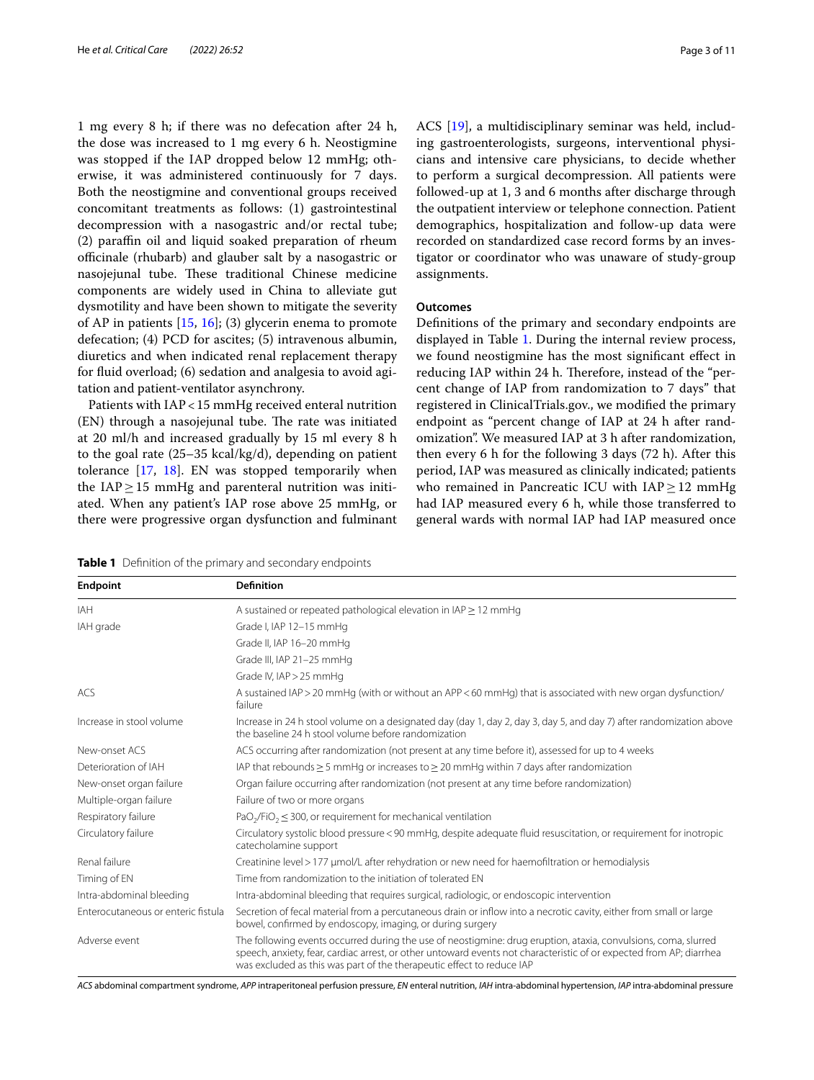1 mg every 8 h; if there was no defecation after 24 h, the dose was increased to 1 mg every 6 h. Neostigmine was stopped if the IAP dropped below 12 mmHg; otherwise, it was administered continuously for 7 days. Both the neostigmine and conventional groups received concomitant treatments as follows: (1) gastrointestinal decompression with a nasogastric and/or rectal tube; (2) parafn oil and liquid soaked preparation of rheum officinale (rhubarb) and glauber salt by a nasogastric or nasojejunal tube. These traditional Chinese medicine components are widely used in China to alleviate gut dysmotility and have been shown to mitigate the severity of AP in patients [\[15](#page-10-9), [16\]](#page-10-10); (3) glycerin enema to promote defecation; (4) PCD for ascites; (5) intravenous albumin, diuretics and when indicated renal replacement therapy for fuid overload; (6) sedation and analgesia to avoid agitation and patient-ventilator asynchrony.

Patients with IAP<15 mmHg received enteral nutrition (EN) through a nasojejunal tube. The rate was initiated at 20 ml/h and increased gradually by 15 ml every 8 h to the goal rate (25–35 kcal/kg/d), depending on patient tolerance [[17](#page-10-11), [18](#page-10-12)]. EN was stopped temporarily when the  $IAP \geq 15$  mmHg and parenteral nutrition was initiated. When any patient's IAP rose above 25 mmHg, or there were progressive organ dysfunction and fulminant ACS [\[19\]](#page-10-13), a multidisciplinary seminar was held, including gastroenterologists, surgeons, interventional physicians and intensive care physicians, to decide whether to perform a surgical decompression. All patients were followed-up at 1, 3 and 6 months after discharge through the outpatient interview or telephone connection. Patient demographics, hospitalization and follow-up data were recorded on standardized case record forms by an investigator or coordinator who was unaware of study-group assignments.

# **Outcomes**

Defnitions of the primary and secondary endpoints are displayed in Table [1](#page-2-0). During the internal review process, we found neostigmine has the most signifcant efect in reducing IAP within 24 h. Therefore, instead of the "percent change of IAP from randomization to 7 days" that registered in ClinicalTrials.gov., we modifed the primary endpoint as "percent change of IAP at 24 h after randomization". We measured IAP at 3 h after randomization, then every 6 h for the following 3 days (72 h). After this period, IAP was measured as clinically indicated; patients who remained in Pancreatic ICU with IAP ≥ 12 mmHg had IAP measured every 6 h, while those transferred to general wards with normal IAP had IAP measured once

<span id="page-2-0"></span>**Table 1** Defnition of the primary and secondary endpoints

| <b>Endpoint</b>                    | <b>Definition</b>                                                                                                                                                                                                                                                                                              |
|------------------------------------|----------------------------------------------------------------------------------------------------------------------------------------------------------------------------------------------------------------------------------------------------------------------------------------------------------------|
| <b>IAH</b>                         | A sustained or repeated pathological elevation in IAP > 12 mmHg                                                                                                                                                                                                                                                |
| IAH grade                          | Grade I, IAP 12-15 mmHg                                                                                                                                                                                                                                                                                        |
|                                    | Grade II, IAP 16-20 mmHg                                                                                                                                                                                                                                                                                       |
|                                    | Grade III, IAP 21-25 mmHg                                                                                                                                                                                                                                                                                      |
|                                    | Grade IV, IAP > 25 mmHg                                                                                                                                                                                                                                                                                        |
| ACS                                | A sustained IAP > 20 mmHg (with or without an APP < 60 mmHg) that is associated with new organ dysfunction/<br>failure                                                                                                                                                                                         |
| Increase in stool volume           | Increase in 24 h stool volume on a designated day (day 1, day 2, day 3, day 5, and day 7) after randomization above<br>the baseline 24 h stool volume before randomization                                                                                                                                     |
| New-onset ACS                      | ACS occurring after randomization (not present at any time before it), assessed for up to 4 weeks                                                                                                                                                                                                              |
| Deterioration of IAH               | IAP that rebounds $\geq$ 5 mmHq or increases to $\geq$ 20 mmHq within 7 days after randomization                                                                                                                                                                                                               |
| New-onset organ failure            | Organ failure occurring after randomization (not present at any time before randomization)                                                                                                                                                                                                                     |
| Multiple-organ failure             | Failure of two or more organs                                                                                                                                                                                                                                                                                  |
| Respiratory failure                | $PaO2/FiO2 \leq 300$ , or requirement for mechanical ventilation                                                                                                                                                                                                                                               |
| Circulatory failure                | Circulatory systolic blood pressure < 90 mmHq, despite adequate fluid resuscitation, or requirement for inotropic<br>catecholamine support                                                                                                                                                                     |
| Renal failure                      | Creatinine level > 177 µmol/L after rehydration or new need for haemofiltration or hemodialysis                                                                                                                                                                                                                |
| Timing of EN                       | Time from randomization to the initiation of tolerated EN                                                                                                                                                                                                                                                      |
| Intra-abdominal bleeding           | Intra-abdominal bleeding that requires surgical, radiologic, or endoscopic intervention                                                                                                                                                                                                                        |
| Enterocutaneous or enteric fistula | Secretion of fecal material from a percutaneous drain or inflow into a necrotic cavity, either from small or large<br>bowel, confirmed by endoscopy, imaging, or during surgery                                                                                                                                |
| Adverse event                      | The following events occurred during the use of neostigmine: drug eruption, ataxia, convulsions, coma, slurred<br>speech, anxiety, fear, cardiac arrest, or other untoward events not characteristic of or expected from AP; diarrhea<br>was excluded as this was part of the therapeutic effect to reduce IAP |

*ACS* abdominal compartment syndrome, *APP* intraperitoneal perfusion pressure, *EN* enteral nutrition, *IAH* intra-abdominal hypertension, *IAP* intra-abdominal pressure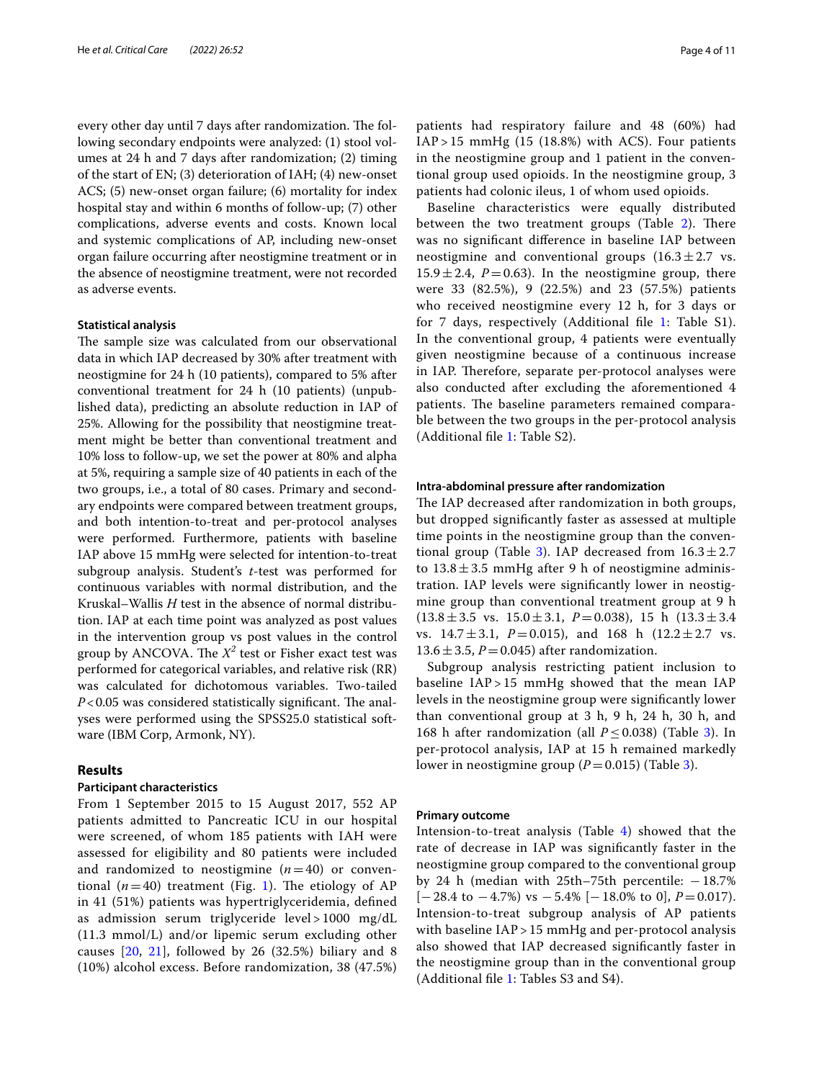every other day until 7 days after randomization. The following secondary endpoints were analyzed: (1) stool volumes at 24 h and 7 days after randomization; (2) timing of the start of EN; (3) deterioration of IAH; (4) new-onset ACS; (5) new-onset organ failure; (6) mortality for index hospital stay and within 6 months of follow-up; (7) other complications, adverse events and costs. Known local and systemic complications of AP, including new-onset organ failure occurring after neostigmine treatment or in the absence of neostigmine treatment, were not recorded as adverse events.

# **Statistical analysis**

The sample size was calculated from our observational data in which IAP decreased by 30% after treatment with neostigmine for 24 h (10 patients), compared to 5% after conventional treatment for 24 h (10 patients) (unpublished data), predicting an absolute reduction in IAP of 25%. Allowing for the possibility that neostigmine treatment might be better than conventional treatment and 10% loss to follow-up, we set the power at 80% and alpha at 5%, requiring a sample size of 40 patients in each of the two groups, i.e., a total of 80 cases. Primary and secondary endpoints were compared between treatment groups, and both intention-to-treat and per-protocol analyses were performed. Furthermore, patients with baseline IAP above 15 mmHg were selected for intention-to-treat subgroup analysis. Student's *t*-test was performed for continuous variables with normal distribution, and the Kruskal–Wallis *H* test in the absence of normal distribution. IAP at each time point was analyzed as post values in the intervention group vs post values in the control group by ANCOVA. The  $X^2$  test or Fisher exact test was performed for categorical variables, and relative risk (RR) was calculated for dichotomous variables. Two-tailed  $P$ <0.05 was considered statistically significant. The analyses were performed using the SPSS25.0 statistical software (IBM Corp, Armonk, NY).

# **Results**

# **Participant characteristics**

From 1 September 2015 to 15 August 2017, 552 AP patients admitted to Pancreatic ICU in our hospital were screened, of whom 185 patients with IAH were assessed for eligibility and 80 patients were included and randomized to neostigmine  $(n=40)$  or conventional  $(n=40)$  treatment (Fig. [1\)](#page-4-0). The etiology of AP in 41 (51%) patients was hypertriglyceridemia, defned as admission serum triglyceride level > 1000 mg/dL (11.3 mmol/L) and/or lipemic serum excluding other causes [[20,](#page-10-14) [21\]](#page-10-15), followed by 26 (32.5%) biliary and 8 (10%) alcohol excess. Before randomization, 38 (47.5%) patients had respiratory failure and 48 (60%) had  $IAP > 15$  mmHg  $(15 (18.8%)$  with ACS). Four patients in the neostigmine group and 1 patient in the conventional group used opioids. In the neostigmine group, 3 patients had colonic ileus, 1 of whom used opioids.

Baseline characteristics were equally distributed between the two treatment groups (Table  $2$ ). There was no signifcant diference in baseline IAP between neostigmine and conventional groups  $(16.3 \pm 2.7 \text{ vs.})$  $15.9 \pm 2.4$ ,  $P = 0.63$ ). In the neostigmine group, there were 33 (82.5%), 9 (22.5%) and 23 (57.5%) patients who received neostigmine every 12 h, for 3 days or for 7 days, respectively (Additional fle [1:](#page-9-0) Table S1). In the conventional group, 4 patients were eventually given neostigmine because of a continuous increase in IAP. Therefore, separate per-protocol analyses were also conducted after excluding the aforementioned 4 patients. The baseline parameters remained comparable between the two groups in the per-protocol analysis (Additional fle [1:](#page-9-0) Table S2).

## **Intra‑abdominal pressure after randomization**

The IAP decreased after randomization in both groups, but dropped signifcantly faster as assessed at multiple time points in the neostigmine group than the conven-tional group (Table [3](#page-6-0)). IAP decreased from  $16.3 \pm 2.7$ to  $13.8 \pm 3.5$  mmHg after 9 h of neostigmine administration. IAP levels were signifcantly lower in neostigmine group than conventional treatment group at 9 h  $(13.8 \pm 3.5 \text{ vs. } 15.0 \pm 3.1, P=0.038)$ , 15 h  $(13.3 \pm 3.4)$ vs.  $14.7 \pm 3.1$ ,  $P = 0.015$ ), and 168 h  $(12.2 \pm 2.7 \text{ vs.})$  $13.6 \pm 3.5$ ,  $P = 0.045$ ) after randomization.

Subgroup analysis restricting patient inclusion to baseline IAP > 15 mmHg showed that the mean IAP levels in the neostigmine group were signifcantly lower than conventional group at 3 h, 9 h, 24 h, 30 h, and 168 h after randomization (all  $P \le 0.038$  $P \le 0.038$  $P \le 0.038$ ) (Table 3). In per-protocol analysis, IAP at 15 h remained markedly lower in neostigmine group  $(P=0.015)$  (Table [3](#page-6-0)).

# **Primary outcome**

Intension-to-treat analysis (Table  $4$ ) showed that the rate of decrease in IAP was signifcantly faster in the neostigmine group compared to the conventional group by 24 h (median with 25th–75th percentile:  $-18.7\%$  $[-28.4 \text{ to } -4.7\%) \text{ vs } -5.4\% [-18.0\% \text{ to } 0], P=0.017$ . Intension-to-treat subgroup analysis of AP patients with baseline IAP > 15 mmHg and per-protocol analysis also showed that IAP decreased signifcantly faster in the neostigmine group than in the conventional group (Additional fle [1:](#page-9-0) Tables S3 and S4).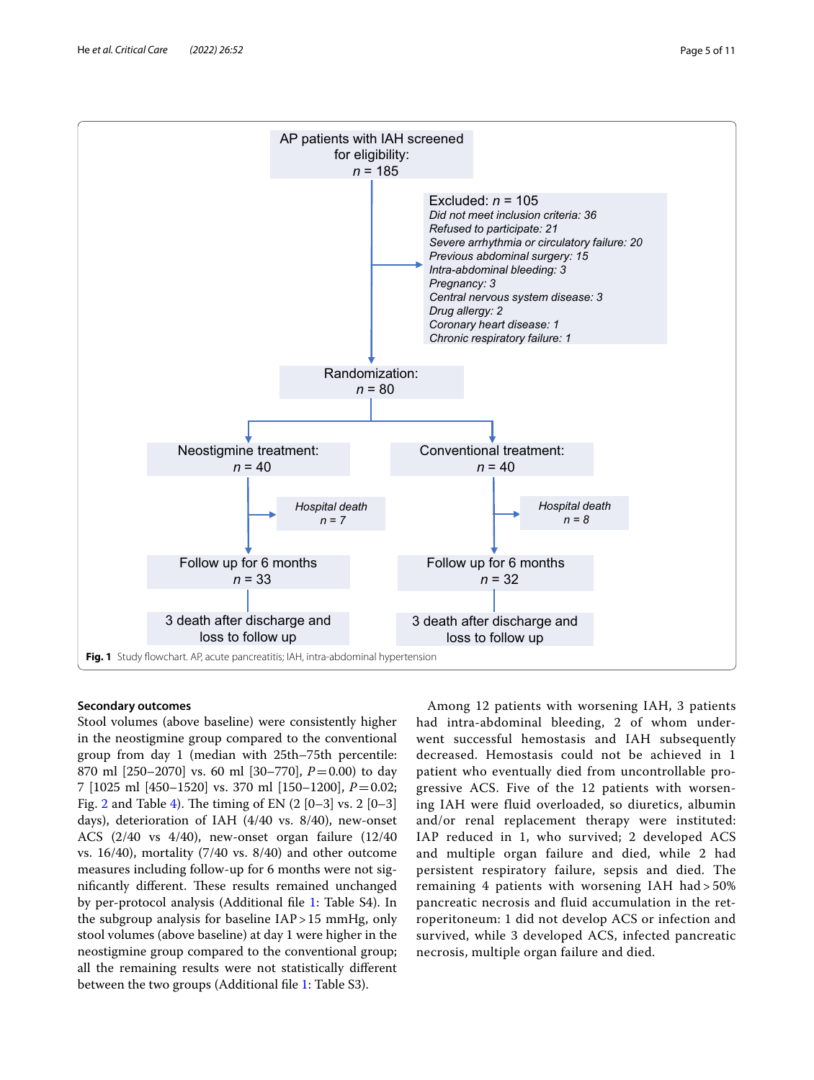

# <span id="page-4-0"></span>**Secondary outcomes**

Stool volumes (above baseline) were consistently higher in the neostigmine group compared to the conventional group from day 1 (median with 25th–75th percentile: 870 ml [250–2070] vs. 60 ml [30–770], *P*=0.00) to day 7 [1025 ml [450–1520] vs. 370 ml [150–1200], *P*=0.02; Fig. [2](#page-8-0) and Table [4](#page-7-0)). The timing of EN  $(2 [0-3] \text{ vs. } 2 [0-3])$ days), deterioration of IAH (4/40 vs. 8/40), new-onset ACS (2/40 vs 4/40), new-onset organ failure (12/40 vs. 16/40), mortality (7/40 vs. 8/40) and other outcome measures including follow-up for 6 months were not significantly different. These results remained unchanged by per-protocol analysis (Additional fle [1](#page-9-0): Table S4). In the subgroup analysis for baseline IAP>15 mmHg, only stool volumes (above baseline) at day 1 were higher in the neostigmine group compared to the conventional group; all the remaining results were not statistically diferent between the two groups (Additional file [1:](#page-9-0) Table S3).

Among 12 patients with worsening IAH, 3 patients had intra-abdominal bleeding, 2 of whom underwent successful hemostasis and IAH subsequently decreased. Hemostasis could not be achieved in 1 patient who eventually died from uncontrollable progressive ACS. Five of the 12 patients with worsening IAH were fluid overloaded, so diuretics, albumin and/or renal replacement therapy were instituted: IAP reduced in 1, who survived; 2 developed ACS and multiple organ failure and died, while 2 had persistent respiratory failure, sepsis and died. The remaining 4 patients with worsening IAH had > 50% pancreatic necrosis and fluid accumulation in the retroperitoneum: 1 did not develop ACS or infection and survived, while 3 developed ACS, infected pancreatic necrosis, multiple organ failure and died.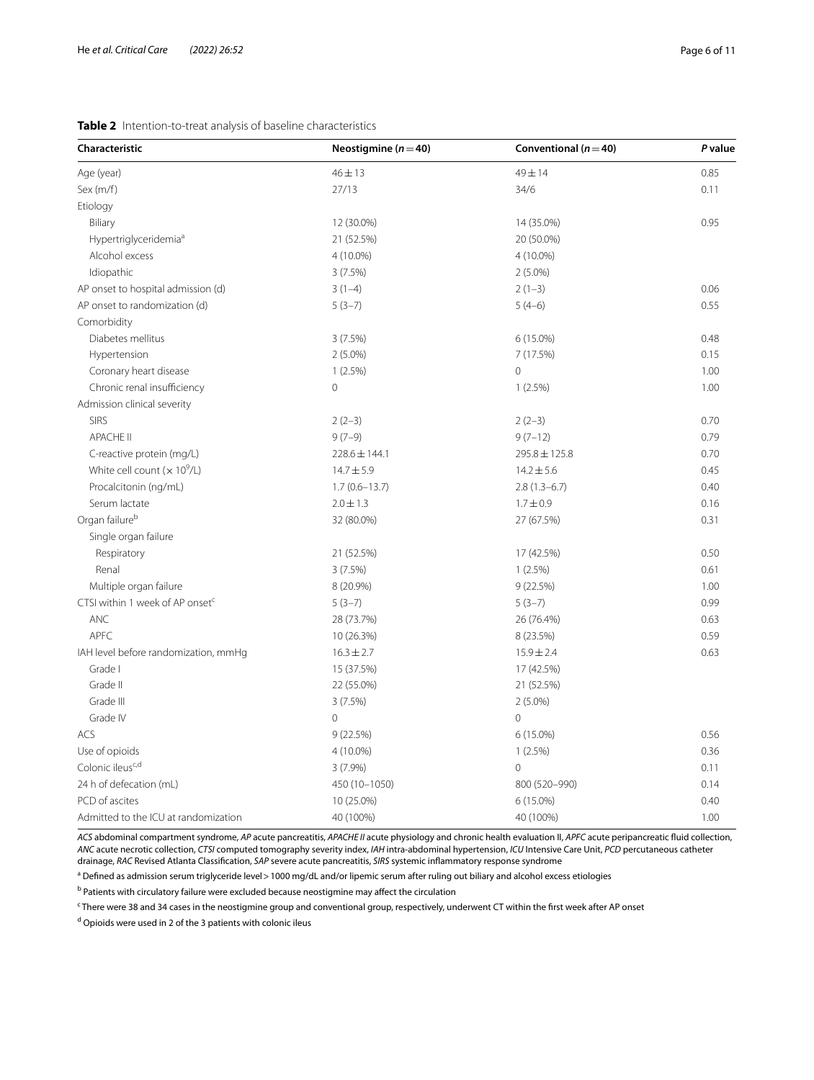# <span id="page-5-0"></span>**Table 2** Intention-to-treat analysis of baseline characteristics

| Characteristic                              | Neostigmine ( $n = 40$ ) | Conventional ( $n = 40$ ) | P value |
|---------------------------------------------|--------------------------|---------------------------|---------|
| Age (year)                                  | $46 + 13$                | 49 ± 14                   | 0.85    |
| Sex $(m/f)$                                 | 27/13                    | 34/6                      | 0.11    |
| Etiology                                    |                          |                           |         |
| Biliary                                     | 12 (30.0%)               | 14 (35.0%)                | 0.95    |
| Hypertriglyceridemia <sup>a</sup>           | 21 (52.5%)               | 20 (50.0%)                |         |
| Alcohol excess                              | 4 (10.0%)                | $4(10.0\%)$               |         |
| Idiopathic                                  | 3(7.5%)                  | $2(5.0\%)$                |         |
| AP onset to hospital admission (d)          | $3(1-4)$                 | $2(1-3)$                  | 0.06    |
| AP onset to randomization (d)               | $5(3-7)$                 | $5(4-6)$                  | 0.55    |
| Comorbidity                                 |                          |                           |         |
| Diabetes mellitus                           | 3(7.5%)                  | 6 (15.0%)                 | 0.48    |
| Hypertension                                | $2(5.0\%)$               | 7 (17.5%)                 | 0.15    |
| Coronary heart disease                      | 1(2.5%)                  | $\overline{0}$            | 1.00    |
| Chronic renal insufficiency                 | $\overline{0}$           | 1(2.5%)                   | 1.00    |
| Admission clinical severity                 |                          |                           |         |
| <b>SIRS</b>                                 | $2(2-3)$                 | $2(2-3)$                  | 0.70    |
| <b>APACHE II</b>                            | $9(7-9)$                 | $9(7-12)$                 | 0.79    |
| C-reactive protein (mg/L)                   | $228.6 \pm 144.1$        | 295.8 ± 125.8             | 0.70    |
| White cell count $(x 10^9/L)$               | $14.7 \pm 5.9$           | $14.2 \pm 5.6$            | 0.45    |
| Procalcitonin (ng/mL)                       | $1.7(0.6 - 13.7)$        | $2.8(1.3-6.7)$            | 0.40    |
| Serum lactate                               | $2.0 \pm 1.3$            | $1.7 \pm 0.9$             | 0.16    |
| Organ failure <sup>b</sup>                  | 32 (80.0%)               | 27 (67.5%)                | 0.31    |
| Single organ failure                        |                          |                           |         |
| Respiratory                                 | 21 (52.5%)               | 17 (42.5%)                | 0.50    |
| Renal                                       | 3(7.5%)                  | 1(2.5%)                   | 0.61    |
| Multiple organ failure                      | 8 (20.9%)                | 9(22.5%)                  | 1.00    |
| CTSI within 1 week of AP onset <sup>c</sup> | $5(3-7)$                 | $5(3-7)$                  | 0.99    |
| <b>ANC</b>                                  | 28 (73.7%)               | 26 (76.4%)                | 0.63    |
| <b>APFC</b>                                 | 10 (26.3%)               | 8 (23.5%)                 | 0.59    |
| IAH level before randomization, mmHg        | $16.3 \pm 2.7$           | $15.9 \pm 2.4$            | 0.63    |
| Grade I                                     | 15 (37.5%)               | 17 (42.5%)                |         |
| Grade II                                    | 22 (55.0%)               | 21 (52.5%)                |         |
| Grade III                                   | 3(7.5%)                  | $2(5.0\%)$                |         |
| Grade IV                                    | $\mathbf{0}$             | $\circ$                   |         |
| ACS                                         | 9 (22.5%)                | 6 (15.0%)                 | 0.56    |
| Use of opioids                              | $4(10.0\%)$              | 1(2.5%)                   | 0.36    |
| Colonic ileus <sup>c,d</sup>                | $3(7.9\%)$               | $\circ$                   | 0.11    |
| 24 h of defecation (mL)                     | 450 (10-1050)            | 800 (520-990)             | 0.14    |
| PCD of ascites                              | 10 (25.0%)               | $6(15.0\%)$               | 0.40    |
| Admitted to the ICU at randomization        | 40 (100%)                | 40 (100%)                 | 1.00    |

*ACS* abdominal compartment syndrome, *AP* acute pancreatitis, *APACHE II* acute physiology and chronic health evaluation II, *APFC* acute peripancreatic fuid collection, *ANC* acute necrotic collection, *CTSI* computed tomography severity index, *IAH* intra-abdominal hypertension, *ICU* Intensive Care Unit, *PCD* percutaneous catheter drainage, *RAC* Revised Atlanta Classifcation, *SAP* severe acute pancreatitis, *SIRS* systemic infammatory response syndrome

<sup>a</sup> Defined as admission serum triglyceride level>1000 mg/dL and/or lipemic serum after ruling out biliary and alcohol excess etiologies

<sup>b</sup> Patients with circulatory failure were excluded because neostigmine may affect the circulation

c There were 38 and 34 cases in the neostigmine group and conventional group, respectively, underwent CT within the frst week after AP onset

<sup>d</sup> Opioids were used in 2 of the 3 patients with colonic ileus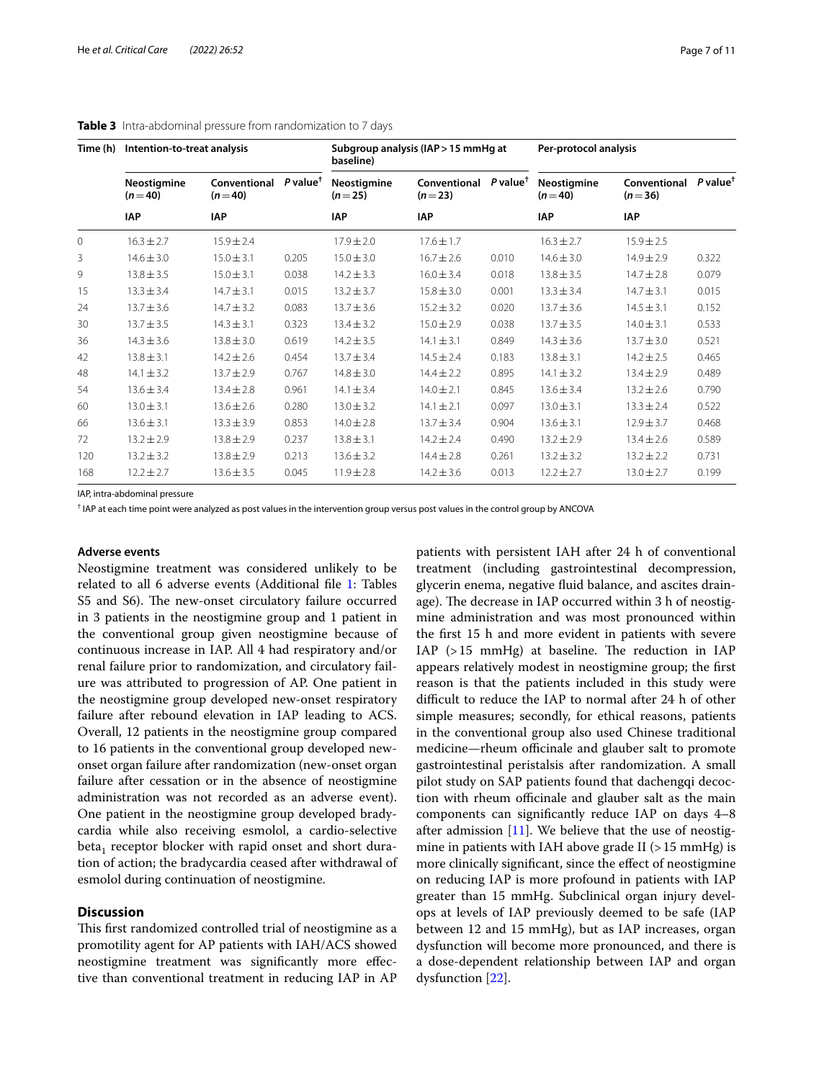| Time (h) | Intention-to-treat analysis    |                          |                        | Subgroup analysis (IAP > 15 mmHg at<br>baseline) |                          |                        | Per-protocol analysis          |                          |                        |
|----------|--------------------------------|--------------------------|------------------------|--------------------------------------------------|--------------------------|------------------------|--------------------------------|--------------------------|------------------------|
|          | <b>Neostigmine</b><br>$(n=40)$ | Conventional<br>$(n=40)$ | $P$ value <sup>†</sup> | Neostigmine<br>$(n=25)$                          | Conventional<br>$(n=23)$ | $P$ value <sup>†</sup> | <b>Neostigmine</b><br>$(n=40)$ | Conventional<br>$(n=36)$ | $P$ value <sup>†</sup> |
|          | <b>IAP</b>                     | IAP                      |                        | <b>IAP</b>                                       | <b>IAP</b>               |                        | <b>IAP</b>                     | <b>IAP</b>               |                        |
| $\circ$  | $16.3 \pm 2.7$                 | $15.9 \pm 2.4$           |                        | $17.9 \pm 2.0$                                   | $17.6 \pm 1.7$           |                        | $16.3 \pm 2.7$                 | $15.9 \pm 2.5$           |                        |
| 3        | $14.6 \pm 3.0$                 | $15.0 \pm 3.1$           | 0.205                  | $15.0 \pm 3.0$                                   | $16.7 \pm 2.6$           | 0.010                  | $14.6 \pm 3.0$                 | $14.9 + 2.9$             | 0.322                  |
| 9        | $13.8 \pm 3.5$                 | $15.0 \pm 3.1$           | 0.038                  | $14.2 \pm 3.3$                                   | $16.0 \pm 3.4$           | 0.018                  | $13.8 \pm 3.5$                 | $14.7 \pm 2.8$           | 0.079                  |
| 15       | $13.3 \pm 3.4$                 | $14.7 \pm 3.1$           | 0.015                  | $13.2 \pm 3.7$                                   | $15.8 \pm 3.0$           | 0.001                  | $13.3 \pm 3.4$                 | $14.7 \pm 3.1$           | 0.015                  |
| 24       | $13.7 \pm 3.6$                 | $14.7 \pm 3.2$           | 0.083                  | $13.7 \pm 3.6$                                   | $15.2 \pm 3.2$           | 0.020                  | $13.7 + 3.6$                   | $14.5 \pm 3.1$           | 0.152                  |
| 30       | $13.7 \pm 3.5$                 | $14.3 \pm 3.1$           | 0.323                  | $13.4 \pm 3.2$                                   | $15.0 \pm 2.9$           | 0.038                  | $13.7 \pm 3.5$                 | $14.0 \pm 3.1$           | 0.533                  |
| 36       | $14.3 \pm 3.6$                 | $13.8 \pm 3.0$           | 0.619                  | $14.2 \pm 3.5$                                   | $14.1 \pm 3.1$           | 0.849                  | $14.3 \pm 3.6$                 | $13.7 \pm 3.0$           | 0.521                  |
| 42       | $13.8 \pm 3.1$                 | $14.2 \pm 2.6$           | 0.454                  | $13.7 \pm 3.4$                                   | $14.5 \pm 2.4$           | 0.183                  | $13.8 \pm 3.1$                 | $14.2 \pm 2.5$           | 0.465                  |
| 48       | $14.1 \pm 3.2$                 | $13.7 \pm 2.9$           | 0.767                  | $14.8 \pm 3.0$                                   | $14.4 \pm 2.2$           | 0.895                  | $14.1 \pm 3.2$                 | $13.4 \pm 2.9$           | 0.489                  |
| 54       | $13.6 \pm 3.4$                 | $13.4 \pm 2.8$           | 0.961                  | $14.1 \pm 3.4$                                   | $14.0 \pm 2.1$           | 0.845                  | $13.6 \pm 3.4$                 | $13.2 + 2.6$             | 0.790                  |
| 60       | $13.0 \pm 3.1$                 | $13.6 \pm 2.6$           | 0.280                  | $13.0 \pm 3.2$                                   | $14.1 \pm 2.1$           | 0.097                  | $13.0 \pm 3.1$                 | $13.3 \pm 2.4$           | 0.522                  |
| 66       | $13.6 \pm 3.1$                 | $13.3 \pm 3.9$           | 0.853                  | $14.0 \pm 2.8$                                   | $13.7 \pm 3.4$           | 0.904                  | $13.6 \pm 3.1$                 | $12.9 \pm 3.7$           | 0.468                  |
| 72       | $13.2 \pm 2.9$                 | $13.8 \pm 2.9$           | 0.237                  | $13.8 \pm 3.1$                                   | $14.2 \pm 2.4$           | 0.490                  | $13.2 \pm 2.9$                 | $13.4 \pm 2.6$           | 0.589                  |
| 120      | $13.2 \pm 3.2$                 | $13.8 \pm 2.9$           | 0.213                  | $13.6 \pm 3.2$                                   | $14.4 \pm 2.8$           | 0.261                  | $13.2 \pm 3.2$                 | $13.2 \pm 2.2$           | 0.731                  |
| 168      | $12.2 \pm 2.7$                 | $13.6 \pm 3.5$           | 0.045                  | $11.9 \pm 2.8$                                   | $14.2 \pm 3.6$           | 0.013                  | $12.2 \pm 2.7$                 | $13.0 \pm 2.7$           | 0.199                  |

<span id="page-6-0"></span>**Table 3** Intra-abdominal pressure from randomization to 7 days

IAP, intra-abdominal pressure

† IAP at each time point were analyzed as post values in the intervention group versus post values in the control group by ANCOVA

# **Adverse events**

Neostigmine treatment was considered unlikely to be related to all 6 adverse events (Additional fle [1:](#page-9-0) Tables S5 and S6). The new-onset circulatory failure occurred in 3 patients in the neostigmine group and 1 patient in the conventional group given neostigmine because of continuous increase in IAP. All 4 had respiratory and/or renal failure prior to randomization, and circulatory failure was attributed to progression of AP. One patient in the neostigmine group developed new-onset respiratory failure after rebound elevation in IAP leading to ACS. Overall, 12 patients in the neostigmine group compared to 16 patients in the conventional group developed newonset organ failure after randomization (new-onset organ failure after cessation or in the absence of neostigmine administration was not recorded as an adverse event). One patient in the neostigmine group developed bradycardia while also receiving esmolol, a cardio-selective beta<sub>1</sub> receptor blocker with rapid onset and short duration of action; the bradycardia ceased after withdrawal of esmolol during continuation of neostigmine.

# **Discussion**

This first randomized controlled trial of neostigmine as a promotility agent for AP patients with IAH/ACS showed neostigmine treatment was signifcantly more efective than conventional treatment in reducing IAP in AP patients with persistent IAH after 24 h of conventional treatment (including gastrointestinal decompression, glycerin enema, negative fuid balance, and ascites drainage). The decrease in IAP occurred within 3 h of neostigmine administration and was most pronounced within the frst 15 h and more evident in patients with severe IAP  $(>15$  mmHg) at baseline. The reduction in IAP appears relatively modest in neostigmine group; the frst reason is that the patients included in this study were difficult to reduce the IAP to normal after 24 h of other simple measures; secondly, for ethical reasons, patients in the conventional group also used Chinese traditional medicine—rheum officinale and glauber salt to promote gastrointestinal peristalsis after randomization. A small pilot study on SAP patients found that dachengqi decoction with rheum officinale and glauber salt as the main components can signifcantly reduce IAP on days 4–8 after admission  $[11]$  $[11]$  $[11]$ . We believe that the use of neostigmine in patients with IAH above grade II  $(>15 \text{ mmHg})$  is more clinically signifcant, since the efect of neostigmine on reducing IAP is more profound in patients with IAP greater than 15 mmHg. Subclinical organ injury develops at levels of IAP previously deemed to be safe (IAP between 12 and 15 mmHg), but as IAP increases, organ dysfunction will become more pronounced, and there is a dose-dependent relationship between IAP and organ dysfunction [[22\]](#page-10-17).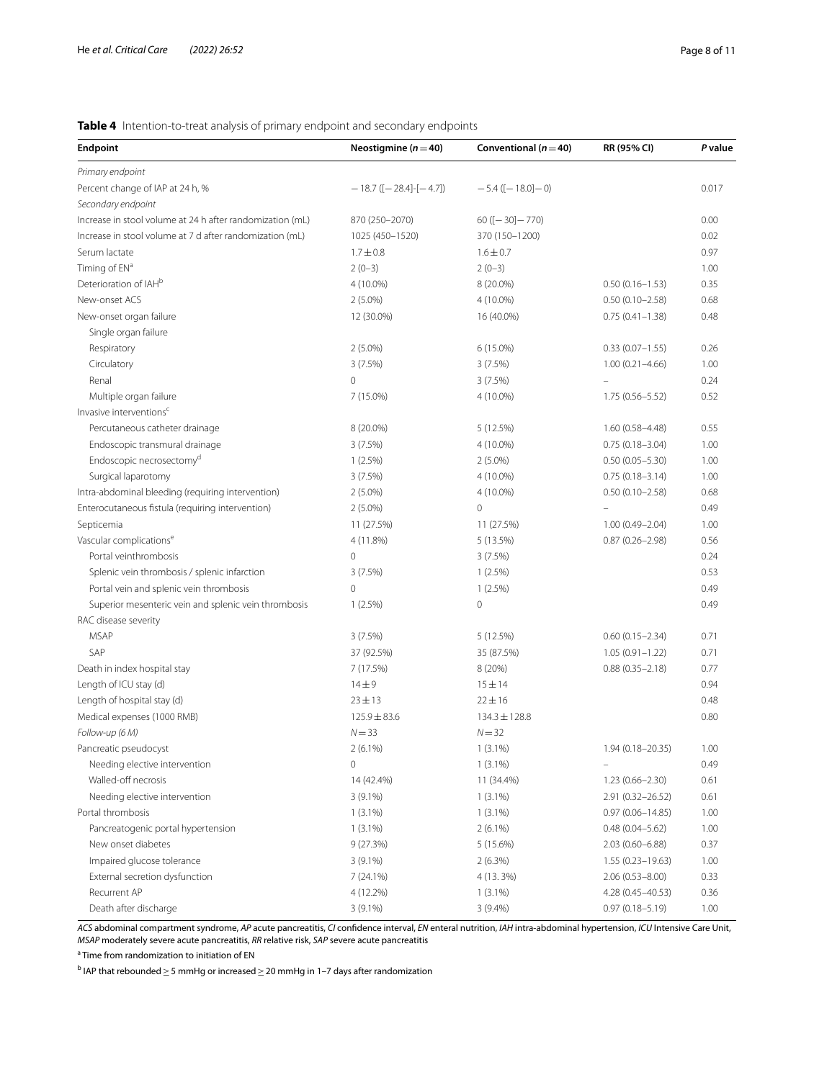# <span id="page-7-0"></span>**Table 4** Intention-to-treat analysis of primary endpoint and secondary endpoints

| <b>Endpoint</b>                                           | Neostigmine ( $n = 40$ )         | Conventional ( $n = 40$ )  | RR (95% CI)          | P value |
|-----------------------------------------------------------|----------------------------------|----------------------------|----------------------|---------|
| Primary endpoint                                          |                                  |                            |                      |         |
| Percent change of IAP at 24 h, %                          | $-18.7$ ([ $-28.4$ ]-[ $-4.7$ ]) | $-5.4$ ([ $-18.0$ ] $-0$ ) |                      | 0.017   |
| Secondary endpoint                                        |                                  |                            |                      |         |
| Increase in stool volume at 24 h after randomization (mL) | 870 (250-2070)                   | $60([-30]-770)$            |                      | 0.00    |
| Increase in stool volume at 7 d after randomization (mL)  | 1025 (450-1520)                  | 370 (150-1200)             |                      | 0.02    |
| Serum lactate                                             | $1.7 \pm 0.8$                    | $1.6 \pm 0.7$              |                      | 0.97    |
| Timing of EN <sup>a</sup>                                 | $2(0-3)$                         | $2(0-3)$                   |                      | 1.00    |
| Deterioration of IAH <sup>b</sup>                         | 4 (10.0%)                        | 8 (20.0%)                  | $0.50(0.16 - 1.53)$  | 0.35    |
| New-onset ACS                                             | $2(5.0\%)$                       | 4 (10.0%)                  | $0.50(0.10 - 2.58)$  | 0.68    |
| New-onset organ failure                                   | 12 (30.0%)                       | 16 (40.0%)                 | $0.75(0.41 - 1.38)$  | 0.48    |
| Single organ failure                                      |                                  |                            |                      |         |
| Respiratory                                               | $2(5.0\%)$                       | 6 (15.0%)                  | $0.33(0.07 - 1.55)$  | 0.26    |
| Circulatory                                               | 3(7.5%)                          | 3(7.5%)                    | $1.00(0.21 - 4.66)$  | 1.00    |
| Renal                                                     | $\mathbf 0$                      | 3(7.5%)                    |                      | 0.24    |
| Multiple organ failure                                    | 7 (15.0%)                        | 4 (10.0%)                  | $1.75(0.56 - 5.52)$  | 0.52    |
| Invasive interventions <sup>c</sup>                       |                                  |                            |                      |         |
| Percutaneous catheter drainage                            | 8 (20.0%)                        | 5 (12.5%)                  | $1.60(0.58 - 4.48)$  | 0.55    |
| Endoscopic transmural drainage                            | 3(7.5%)                          | 4 (10.0%)                  | $0.75(0.18 - 3.04)$  | 1.00    |
| Endoscopic necrosectomy <sup>d</sup>                      | 1(2.5%)                          | $2(5.0\%)$                 | $0.50(0.05 - 5.30)$  | 1.00    |
| Surgical laparotomy                                       | 3(7.5%)                          | 4 (10.0%)                  | $0.75(0.18 - 3.14)$  | 1.00    |
| Intra-abdominal bleeding (requiring intervention)         | $2(5.0\%)$                       | 4 (10.0%)                  | $0.50(0.10 - 2.58)$  | 0.68    |
| Enterocutaneous fistula (requiring intervention)          | $2(5.0\%)$                       | $\mathbf 0$                |                      | 0.49    |
| Septicemia                                                | 11 (27.5%)                       | 11 (27.5%)                 | $1.00(0.49 - 2.04)$  | 1.00    |
| Vascular complications <sup>e</sup>                       | 4 (11.8%)                        | 5 (13.5%)                  | $0.87(0.26 - 2.98)$  | 0.56    |
| Portal veinthrombosis                                     | $\mathbf 0$                      | 3(7.5%)                    |                      | 0.24    |
| Splenic vein thrombosis / splenic infarction              | 3(7.5%)                          | $1(2.5\%)$                 |                      | 0.53    |
| Portal vein and splenic vein thrombosis                   | $\mathbf 0$                      | $1(2.5\%)$                 |                      | 0.49    |
| Superior mesenteric vein and splenic vein thrombosis      | 1(2.5%)                          | $\mathbf 0$                |                      | 0.49    |
| RAC disease severity                                      |                                  |                            |                      |         |
| <b>MSAP</b>                                               | 3(7.5%)                          | 5(12.5%)                   | $0.60(0.15 - 2.34)$  | 0.71    |
| SAP                                                       | 37 (92.5%)                       | 35 (87.5%)                 | $1.05(0.91 - 1.22)$  | 0.71    |
| Death in index hospital stay                              | 7 (17.5%)                        | 8 (20%)                    | $0.88(0.35 - 2.18)$  | 0.77    |
| Length of ICU stay (d)                                    | $14 \pm 9$                       | $15 + 14$                  |                      | 0.94    |
| Length of hospital stay (d)                               | $23 \pm 13$                      | $22 \pm 16$                |                      | 0.48    |
| Medical expenses (1000 RMB)                               | $125.9 \pm 83.6$                 | $134.3 \pm 128.8$          |                      | 0.80    |
| Follow-up (6 M)                                           | $N = 33$                         | $N = 32$                   |                      |         |
| Pancreatic pseudocyst                                     | $2(6.1\%)$                       | $1(3.1\%)$                 | 1.94 (0.18-20.35)    | 1.00    |
| Needing elective intervention                             | 0                                | $1(3.1\%)$                 |                      | 0.49    |
| Walled-off necrosis                                       | 14 (42.4%)                       | 11 (34.4%)                 | $1.23(0.66 - 2.30)$  | 0.61    |
| Needing elective intervention                             | $3(9.1\%)$                       | $1(3.1\%)$                 | 2.91 (0.32-26.52)    | 0.61    |
| Portal thrombosis                                         | $1(3.1\%)$                       | $1(3.1\%)$                 | $0.97(0.06 - 14.85)$ | 1.00    |
| Pancreatogenic portal hypertension                        | $1(3.1\%)$                       | $2(6.1\%)$                 | $0.48(0.04 - 5.62)$  | 1.00    |
| New onset diabetes                                        | 9(27.3%)                         | 5(15.6%)                   | $2.03(0.60 - 6.88)$  | 0.37    |
| Impaired glucose tolerance                                | $3(9.1\%)$                       | 2(6.3%)                    | $1.55(0.23 - 19.63)$ | 1.00    |
| External secretion dysfunction                            | 7(24.1%)                         | 4 (13. 3%)                 | $2.06(0.53 - 8.00)$  | 0.33    |
| Recurrent AP                                              | 4 (12.2%)                        | $1(3.1\%)$                 | 4.28 (0.45-40.53)    | 0.36    |
| Death after discharge                                     | $3(9.1\%)$                       | $3(9.4\%)$                 | $0.97(0.18 - 5.19)$  | 1.00    |

*ACS* abdominal compartment syndrome, *AP* acute pancreatitis, *CI* confdence interval, *EN* enteral nutrition, *IAH* intra-abdominal hypertension, *ICU* Intensive Care Unit, *MSAP* moderately severe acute pancreatitis, *RR* relative risk, *SAP* severe acute pancreatitis

<sup>a</sup> Time from randomization to initiation of EN

 $^{\rm b}$  IAP that rebounded  $\geq$  5 mmHg or increased  $\geq$  20 mmHg in 1–7 days after randomization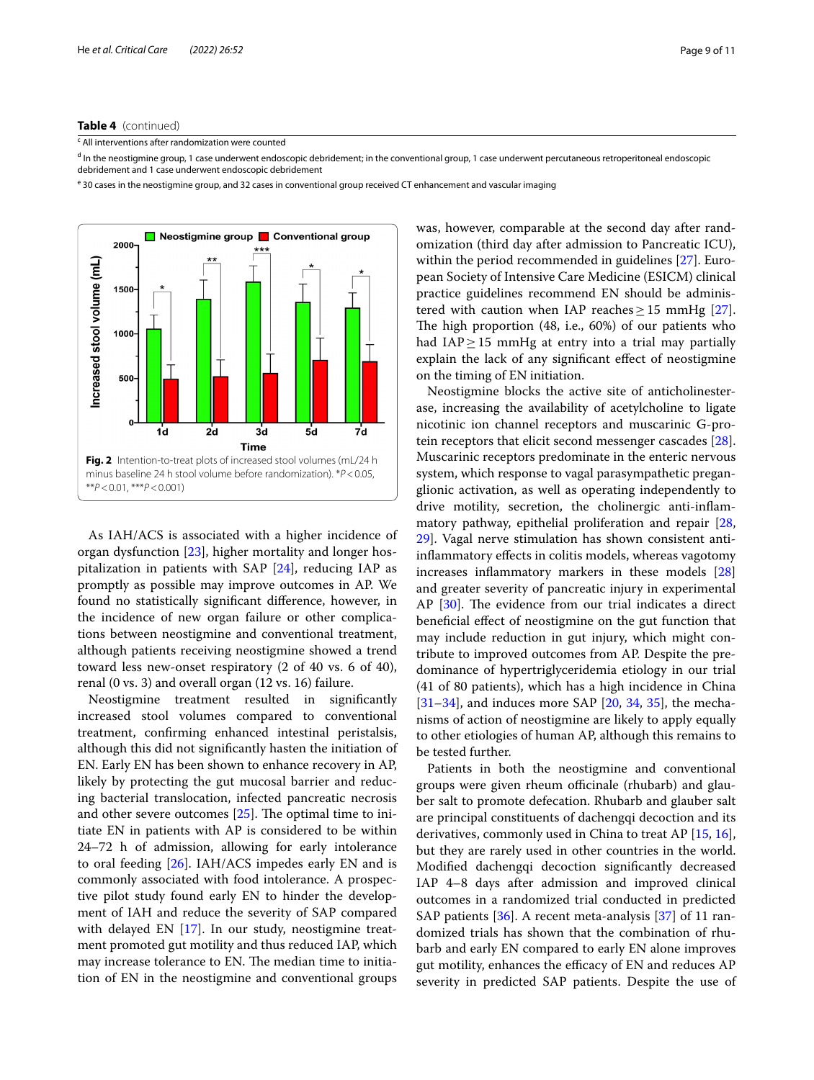## **Table 4** (continued)

<sup>c</sup> All interventions after randomization were counted

<sup>d</sup> In the neostigmine group, 1 case underwent endoscopic debridement; in the conventional group, 1 case underwent percutaneous retroperitoneal endoscopic debridement and 1 case underwent endoscopic debridement

<sup>e</sup> 30 cases in the neostigmine group, and 32 cases in conventional group received CT enhancement and vascular imaging



<span id="page-8-0"></span>As IAH/ACS is associated with a higher incidence of organ dysfunction [\[23](#page-10-18)], higher mortality and longer hospitalization in patients with SAP [[24\]](#page-10-19), reducing IAP as promptly as possible may improve outcomes in AP. We found no statistically signifcant diference, however, in the incidence of new organ failure or other complications between neostigmine and conventional treatment, although patients receiving neostigmine showed a trend toward less new-onset respiratory (2 of 40 vs. 6 of 40), renal (0 vs. 3) and overall organ (12 vs. 16) failure.

Neostigmine treatment resulted in signifcantly increased stool volumes compared to conventional treatment, confrming enhanced intestinal peristalsis, although this did not signifcantly hasten the initiation of EN. Early EN has been shown to enhance recovery in AP, likely by protecting the gut mucosal barrier and reducing bacterial translocation, infected pancreatic necrosis and other severe outcomes  $[25]$  $[25]$ . The optimal time to initiate EN in patients with AP is considered to be within 24–72 h of admission, allowing for early intolerance to oral feeding [[26\]](#page-10-21). IAH/ACS impedes early EN and is commonly associated with food intolerance. A prospective pilot study found early EN to hinder the development of IAH and reduce the severity of SAP compared with delayed EN [[17\]](#page-10-11). In our study, neostigmine treatment promoted gut motility and thus reduced IAP, which may increase tolerance to EN. The median time to initiation of EN in the neostigmine and conventional groups was, however, comparable at the second day after randomization (third day after admission to Pancreatic ICU), within the period recommended in guidelines [[27\]](#page-10-22). European Society of Intensive Care Medicine (ESICM) clinical practice guidelines recommend EN should be administered with caution when IAP reaches  $\geq$  15 mmHg [\[27](#page-10-22)]. The high proportion  $(48, i.e., 60%)$  of our patients who had IAP $≥$ 15 mmHg at entry into a trial may partially explain the lack of any signifcant efect of neostigmine on the timing of EN initiation.

Neostigmine blocks the active site of anticholinesterase, increasing the availability of acetylcholine to ligate nicotinic ion channel receptors and muscarinic G-protein receptors that elicit second messenger cascades [\[28](#page-10-23)]. Muscarinic receptors predominate in the enteric nervous system, which response to vagal parasympathetic preganglionic activation, as well as operating independently to drive motility, secretion, the cholinergic anti-infammatory pathway, epithelial proliferation and repair [[28](#page-10-23), [29\]](#page-10-24). Vagal nerve stimulation has shown consistent antiinfammatory efects in colitis models, whereas vagotomy increases infammatory markers in these models [[28](#page-10-23)] and greater severity of pancreatic injury in experimental AP  $[30]$  $[30]$ . The evidence from our trial indicates a direct benefcial efect of neostigmine on the gut function that may include reduction in gut injury, which might contribute to improved outcomes from AP. Despite the predominance of hypertriglyceridemia etiology in our trial (41 of 80 patients), which has a high incidence in China  $[31–34]$  $[31–34]$  $[31–34]$ , and induces more SAP  $[20, 34, 35]$  $[20, 34, 35]$  $[20, 34, 35]$  $[20, 34, 35]$  $[20, 34, 35]$  $[20, 34, 35]$ , the mechanisms of action of neostigmine are likely to apply equally to other etiologies of human AP, although this remains to be tested further.

Patients in both the neostigmine and conventional groups were given rheum officinale (rhubarb) and glauber salt to promote defecation. Rhubarb and glauber salt are principal constituents of dachengqi decoction and its derivatives, commonly used in China to treat AP [[15,](#page-10-9) [16](#page-10-10)], but they are rarely used in other countries in the world. Modifed dachengqi decoction signifcantly decreased IAP 4–8 days after admission and improved clinical outcomes in a randomized trial conducted in predicted SAP patients [[36\]](#page-10-29). A recent meta-analysis [[37\]](#page-10-30) of 11 randomized trials has shown that the combination of rhubarb and early EN compared to early EN alone improves gut motility, enhances the efficacy of EN and reduces AP severity in predicted SAP patients. Despite the use of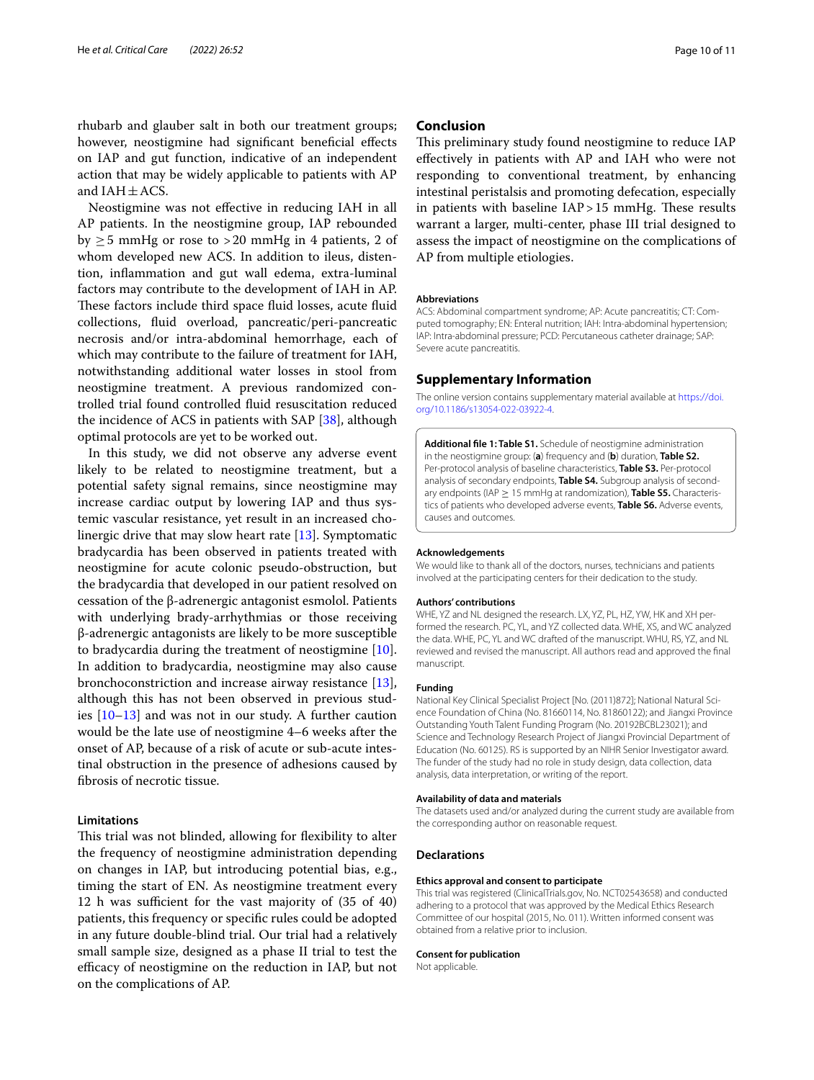rhubarb and glauber salt in both our treatment groups; however, neostigmine had significant beneficial effects on IAP and gut function, indicative of an independent action that may be widely applicable to patients with AP and  $IAH \pm ACS$ .

Neostigmine was not efective in reducing IAH in all AP patients. In the neostigmine group, IAP rebounded by  $>5$  mmHg or rose to  $>20$  mmHg in 4 patients, 2 of whom developed new ACS. In addition to ileus, distention, infammation and gut wall edema, extra-luminal factors may contribute to the development of IAH in AP. These factors include third space fluid losses, acute fluid collections, fuid overload, pancreatic/peri-pancreatic necrosis and/or intra-abdominal hemorrhage, each of which may contribute to the failure of treatment for IAH, notwithstanding additional water losses in stool from neostigmine treatment. A previous randomized controlled trial found controlled fuid resuscitation reduced the incidence of ACS in patients with SAP [\[38](#page-10-31)], although optimal protocols are yet to be worked out.

In this study, we did not observe any adverse event likely to be related to neostigmine treatment, but a potential safety signal remains, since neostigmine may increase cardiac output by lowering IAP and thus systemic vascular resistance, yet result in an increased cholinergic drive that may slow heart rate [[13](#page-10-32)]. Symptomatic bradycardia has been observed in patients treated with neostigmine for acute colonic pseudo-obstruction, but the bradycardia that developed in our patient resolved on cessation of the β-adrenergic antagonist esmolol. Patients with underlying brady-arrhythmias or those receiving β-adrenergic antagonists are likely to be more susceptible to bradycardia during the treatment of neostigmine [\[10](#page-10-7)]. In addition to bradycardia, neostigmine may also cause bronchoconstriction and increase airway resistance [\[13](#page-10-32)], although this has not been observed in previous studies [\[10](#page-10-7)–[13\]](#page-10-32) and was not in our study. A further caution would be the late use of neostigmine 4–6 weeks after the onset of AP, because of a risk of acute or sub-acute intestinal obstruction in the presence of adhesions caused by fbrosis of necrotic tissue.

## **Limitations**

This trial was not blinded, allowing for flexibility to alter the frequency of neostigmine administration depending on changes in IAP, but introducing potential bias, e.g., timing the start of EN. As neostigmine treatment every 12 h was sufficient for the vast majority of  $(35 \text{ of } 40)$ patients, this frequency or specifc rules could be adopted in any future double-blind trial. Our trial had a relatively small sample size, designed as a phase II trial to test the efficacy of neostigmine on the reduction in IAP, but not on the complications of AP.

# **Conclusion**

This preliminary study found neostigmine to reduce IAP efectively in patients with AP and IAH who were not responding to conventional treatment, by enhancing intestinal peristalsis and promoting defecation, especially in patients with baseline  $IAP > 15$  mmHg. These results warrant a larger, multi-center, phase III trial designed to assess the impact of neostigmine on the complications of AP from multiple etiologies.

### **Abbreviations**

ACS: Abdominal compartment syndrome; AP: Acute pancreatitis; CT: Computed tomography; EN: Enteral nutrition; IAH: Intra-abdominal hypertension; IAP: Intra-abdominal pressure; PCD: Percutaneous catheter drainage; SAP: Severe acute pancreatitis.

## **Supplementary Information**

The online version contains supplementary material available at [https://doi.](https://doi.org/10.1186/s13054-022-03922-4) [org/10.1186/s13054-022-03922-4](https://doi.org/10.1186/s13054-022-03922-4).

<span id="page-9-0"></span>**Additional fle 1: Table S1.** Schedule of neostigmine administration in the neostigmine group: (**a**) frequency and (**b**) duration, **Table S2.** Per-protocol analysis of baseline characteristics, **Table S3.** Per-protocol analysis of secondary endpoints, **Table S4.** Subgroup analysis of secondary endpoints (IAP ≥ 15 mmHg at randomization), **Table S5.** Characteristics of patients who developed adverse events, **Table S6.** Adverse events, causes and outcomes.

#### **Acknowledgements**

We would like to thank all of the doctors, nurses, technicians and patients involved at the participating centers for their dedication to the study.

#### **Authors' contributions**

WHE, YZ and NL designed the research. LX, YZ, PL, HZ, YW, HK and XH performed the research. PC, YL, and YZ collected data. WHE, XS, and WC analyzed the data. WHE, PC, YL and WC drafted of the manuscript. WHU, RS, YZ, and NL reviewed and revised the manuscript. All authors read and approved the fnal manuscript.

### **Funding**

National Key Clinical Specialist Project [No. (2011)872]; National Natural Science Foundation of China (No. 81660114, No. 81860122); and Jiangxi Province Outstanding Youth Talent Funding Program (No. 20192BCBL23021); and Science and Technology Research Project of Jiangxi Provincial Department of Education (No. 60125). RS is supported by an NIHR Senior Investigator award. The funder of the study had no role in study design, data collection, data analysis, data interpretation, or writing of the report.

## **Availability of data and materials**

The datasets used and/or analyzed during the current study are available from the corresponding author on reasonable request.

## **Declarations**

## **Ethics approval and consent to participate**

This trial was registered (ClinicalTrials.gov, No. NCT02543658) and conducted adhering to a protocol that was approved by the Medical Ethics Research Committee of our hospital (2015, No. 011). Written informed consent was obtained from a relative prior to inclusion.

#### **Consent for publication**

Not applicable.